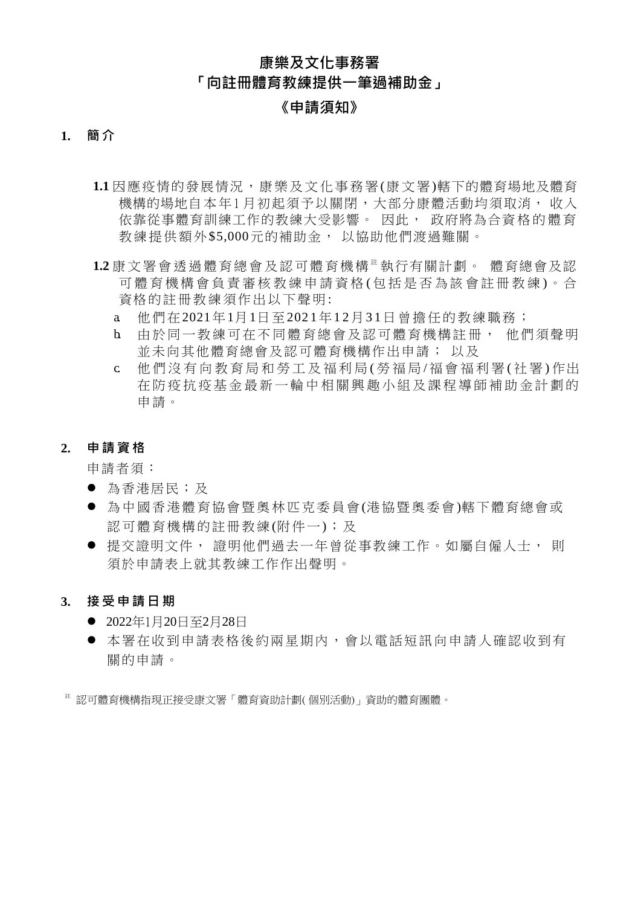# **康樂及文化事務署 「向註冊體育教練提供一筆過補助金」**

# **《申請須知》**

### **1. 簡 介**

- 1.1 因應疫情的發展情況,康樂及文化事務署(康文署)轄下的體育場地及體育 機構的場地自本年1月初起須予以關閉,大部分康體活動均須取消, 收入 依靠從事體育訓練工作的教練大受影響。 因此, 政府將為合資格的體育 教練提供額外\$5,000元的補助金, 以協助他們渡過難關。
- 1.2 康 文 署 會 诱 過 體 育 總 會 及 認 可 體 育 機 構 <sup>註</sup> 執 行 有 關 計 劃 。 體 育 總 會 及 認 可體 育機構會負責審核 教練申請資格(包括是否為該會註冊教練)。合 資格的註冊教練須作出以下聲明:
	- a 他們在2021年1月1日至2021年12月31日曾擔任的教練職務;
	- b. 由於同一教練可在不同體育總會及認可體育機構註冊, 他們須聲明 並未向其他體育總會及認可體育機構作出申請; 以及
	- c. 他們沒有向教育局和勞工及福利局(勞福局/福會福利署(社署)作出 在 防 疫 抗 疫 基 金 最 新 一 輪 中 相 關 興 趣 小 組 及 課 程 導 師 補 助 金 計 劃 的 申 請。
- **2. 申請資格**

申請者須:

- 為香港居民;及
- 為中國香港體育協會暨奧林匹克委員會(港協暨奧委會)轄下體育總會或 認可體育機構的註冊教練(附件一);及
- 提交證明文件, 證明他們過去一年曾從事教練工作。如屬自僱人士, 則 須於申請表上就其教練工作作出聲明。
- **3. 接 受 申 請日 期**
	- 2022年1月20日至2月28日
	- 本署在收到申請表格後約兩星期內,會以電話短訊向申請人確認收到有 關的申請。

<sup>註</sup> 認可體育機構指現正接受康文署「體育資助計劃( 個別活動)」資助的體育團體。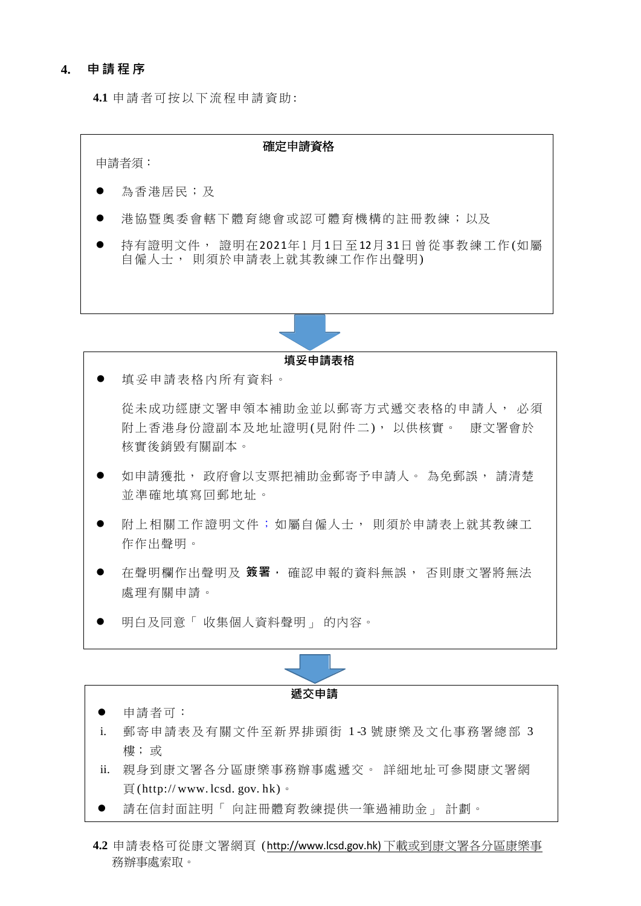#### **4. 申請程序**

**4.1** 申 請 者可 按以 下流 程申 請 資助 :



**填妥申請表格** 填妥申請表格內所有資料。 從未成功經康文署申領本補助金並以郵寄方式遞交表格的申請人, 必須 附上香港身份證副本及地址證明(見附件二), 以供核實。 康文署會於 核實後銷毀有關副本。 如申請獲批, 政府會以支票把補助金郵寄予申請人。 為免郵誤, 請清楚 並準確地填寫回郵地址。 ● 附上相關工作證明文件;如屬自僱人士, 則須於申請表上就其教練工 作作出聲明。 在聲明欄作出聲明及 **簽署,** 確認申報的資料無誤, 否則康文署將無法

- 處理有關申請。
- 明白及同意「 收集個人資料聲明」 的內容。



- 申請者可:
- i. 郵寄申請表及有關文件至新界排頭街 1 -3 號康樂及文化事務署總部 3 樓; 或
- ii. 親身到康文署各分區康樂事務辦事處遞交。 詳細地址可參閱康文署網  $\overline{B}$  (http://[www.](http://www/)lcsd.gov.hk)  $\circ$
- 請在信封面註明「 向註冊體育教練提供一筆過補助金」 計劃。
- **4.2** 申請表格可從康文署網頁 ( http://www.lcsd.gov.hk) [下載或到康文署各分區康樂事](http://www.lcsd.gov.hk)下載或到康文署各分區康樂事) 務辦事處索取。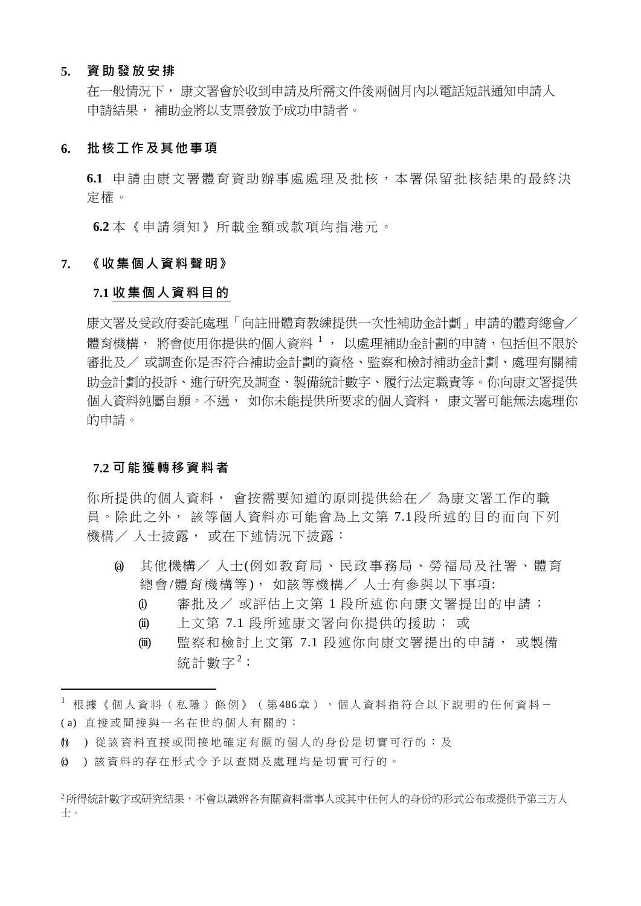#### **5. 資 助 發 放安 排**

在一般情況下, 康文署會於收到申請及所需文件後兩個月內以電話短訊通知申請人 申請結果, 補助金將以支票發放予成功申請者。

#### **6. 批核工作及其他事項**

**6.1** 申請由康文署體育資助辦事處處理及批核,本署保留批核結果的最終決 定權。

**6.2** 本《申請須知》所載金額或款項均指港元。

#### **7. 《收集個人資料聲明》**

#### **7.1 收集個人資料目的**

康文署及受政府委託處理「向註冊體育教練提供一次性補助金計劃」申請的體育總會/ 體育機構, 將會使用你提供的個人資料 1 , 以處理補助金計劃的申請,包括但不限於 審批及/ 或調查你是否符合補助金計劃的資格、監察和檢討補助金計劃、處理有關補 助金計劃的投訴、進行研究及調查、製備統計數字、履行法定職責等。你向康文署提供 個人資料純屬自願。不過, 如你未能提供所要求的個人資料, 康文署可能無法處理你 的申請。

#### **7.2 可能獲轉移資料者**

你所提供的個人資料, 會按需要知道的原則提供給在/ 為康文署工作的職 員。除此之外, 該等個人資料亦可能會為上文第 7.1段所述的目的而向下列 機構/ 人士披露, 或在下述情況下披露:

- (a) 其他機構/ 人士( 例 如教育局、民政事務局、勞福局及社署、體育 總會/體育機構等), 如該等機構/ 人士有參與以下事項:
	- (i) 審批及/ 或評估上文第 1 段所述你向康文署提出的申請;
	- (ii) 上文第 7.1 段所述康文署向你提供的援助; 或
	- (iii) 監察和檢討上文第 7.1 段述你向康文署提出的申請, 或製備 統計數字2;

<sup>&</sup>lt;sup>1</sup> 根據《個人資料(私隱)條例》(第486章),個人資料指符合以下說明的任何資料-( a) 直 接 或 間 接 與 一 名 在 世 的 個 人 有 關 的 ;

<sup>(</sup>b) ) 從該資料直接或間接地確定有關的個人的身份是切實可行的;及

<sup>(</sup>c) ) 該 資 料 的 存 在 形 式 令 予 以 查 閱 及 處 理 均 是 切 實 可 行 的 。

<sup>2</sup>所得統計數字或研究結果,不會以識辨各有關資料當事人或其中任何人的身份的形式公布或提供予第三方人 士。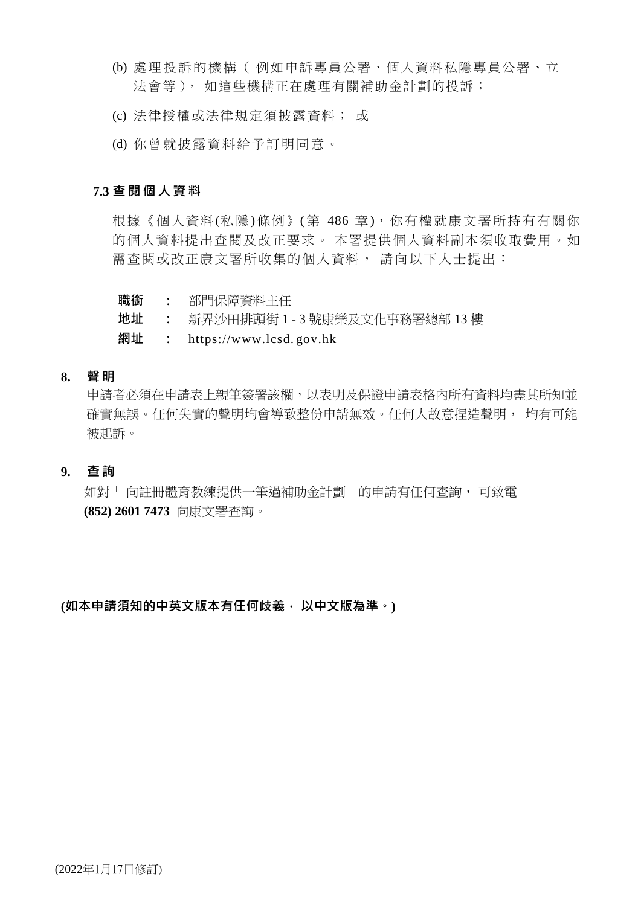- (b) 處理投訴的機構( 例如申訴專員公署、個人資料私隱專員公署、立 法會等), 如這些機構正在處理有關補助金計劃的投訴;
- (c) 法律授權或法律規定須披露資料; 或
- (d) 你曾就披露資料給予訂明同意。

### **7.3 查 閱 個 人資 料**

根據《個人資料(私隱)條例》(第 486 章), 你有權就康文署所持有有關你 的個人資料提出查閱及改正要求。 本署提供個人資料副本須收取費用。如 需查閱或改正康文署所收集的個人資料, 請向以下人士提出:

- **職銜 :** 部門保障資料主任
- **地址 :** 新界沙田排頭街 1 3 號康樂及文化事務署總部 13 樓
- **網址 :** https://www.lcsd. gov.hk

### **8. 聲 明**

申請者必須在申請表上親筆簽署該欄,以表明及保證申請表格內所有資料均盡其所知並 確實無誤。任何失實的聲明均會導致整份申請無效。任何人故意捏造聲明, 均有可能 被起訴。

### **9. 查 詢**

如對「 向註冊體育教練提供一筆過補助金計劃」的申請有任何查詢, 可致電 **(852) 2601 7473** 向康文署查詢。

**(如本申請須知的中英文版本有任何歧義, 以中文版為準。)**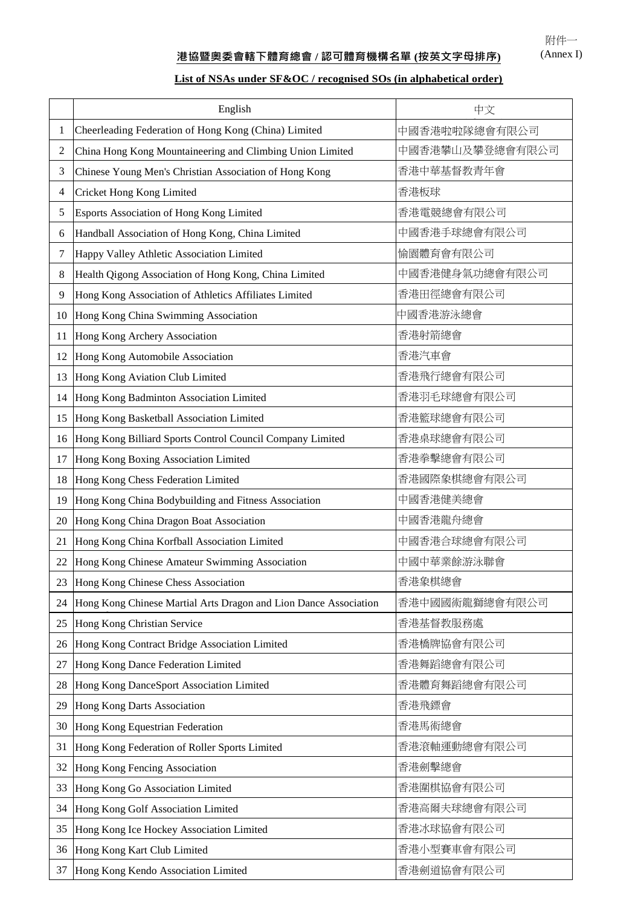附件一 (Annex I)

# **港協暨奧委會轄下體育總會 / 認可體育機構名單 (按英文字母排序)**

## **List of NSAs under SF&OC / recognised SOs (in alphabetical order)**

|    | English                                                          | 中文              |
|----|------------------------------------------------------------------|-----------------|
| 1  | Cheerleading Federation of Hong Kong (China) Limited             | 中國香港啦啦隊總會有限公司   |
| 2  | China Hong Kong Mountaineering and Climbing Union Limited        | 中國香港攀山及攀登總會有限公司 |
| 3  | Chinese Young Men's Christian Association of Hong Kong           | 香港中華基督教青年會      |
| 4  | Cricket Hong Kong Limited                                        | 香港板球            |
| 5  | Esports Association of Hong Kong Limited                         | 香港電競總會有限公司      |
| 6  | Handball Association of Hong Kong, China Limited                 | 中國香港手球總會有限公司    |
| 7  | Happy Valley Athletic Association Limited                        | 愉園體育會有限公司       |
| 8  | Health Qigong Association of Hong Kong, China Limited            | 中國香港健身氣功總會有限公司  |
| 9  | Hong Kong Association of Athletics Affiliates Limited            | 香港田徑總會有限公司      |
| 10 | Hong Kong China Swimming Association                             | 中國香港游泳總會        |
| 11 | Hong Kong Archery Association                                    | 香港射箭總會          |
| 12 | Hong Kong Automobile Association                                 | 香港汽車會           |
| 13 | Hong Kong Aviation Club Limited                                  | 香港飛行總會有限公司      |
| 14 | Hong Kong Badminton Association Limited                          | 香港羽毛球總會有限公司     |
| 15 | Hong Kong Basketball Association Limited                         | 香港籃球總會有限公司      |
| 16 | Hong Kong Billiard Sports Control Council Company Limited        | 香港桌球總會有限公司      |
| 17 | Hong Kong Boxing Association Limited                             | 香港拳擊總會有限公司      |
| 18 | Hong Kong Chess Federation Limited                               | 香港國際象棋總會有限公司    |
| 19 | Hong Kong China Bodybuilding and Fitness Association             | 中國香港健美總會        |
| 20 | Hong Kong China Dragon Boat Association                          | 中國香港龍舟總會        |
| 21 | Hong Kong China Korfball Association Limited                     | 中國香港合球總會有限公司    |
| 22 | Hong Kong Chinese Amateur Swimming Association                   | 中國中華業餘游泳聯會      |
| 23 | Hong Kong Chinese Chess Association                              | 香港象棋總會          |
| 24 | Hong Kong Chinese Martial Arts Dragon and Lion Dance Association | 香港中國國術龍獅總會有限公司  |
| 25 | Hong Kong Christian Service                                      | 香港基督教服務處        |
| 26 | Hong Kong Contract Bridge Association Limited                    | 香港橋牌協會有限公司      |
| 27 | Hong Kong Dance Federation Limited                               | 香港舞蹈總會有限公司      |
| 28 | Hong Kong DanceSport Association Limited                         | 香港體育舞蹈總會有限公司    |
| 29 | Hong Kong Darts Association                                      | 香港飛鏢會           |
| 30 | Hong Kong Equestrian Federation                                  | 香港馬術總會          |
| 31 | Hong Kong Federation of Roller Sports Limited                    | 香港滾軸運動總會有限公司    |
| 32 | Hong Kong Fencing Association                                    | 香港劍擊總會          |
| 33 | Hong Kong Go Association Limited                                 | 香港圍棋協會有限公司      |
| 34 | Hong Kong Golf Association Limited                               | 香港高爾夫球總會有限公司    |
| 35 | Hong Kong Ice Hockey Association Limited                         | 香港冰球協會有限公司      |
| 36 | Hong Kong Kart Club Limited                                      | 香港小型賽車會有限公司     |
| 37 | Hong Kong Kendo Association Limited                              | 香港劍道協會有限公司      |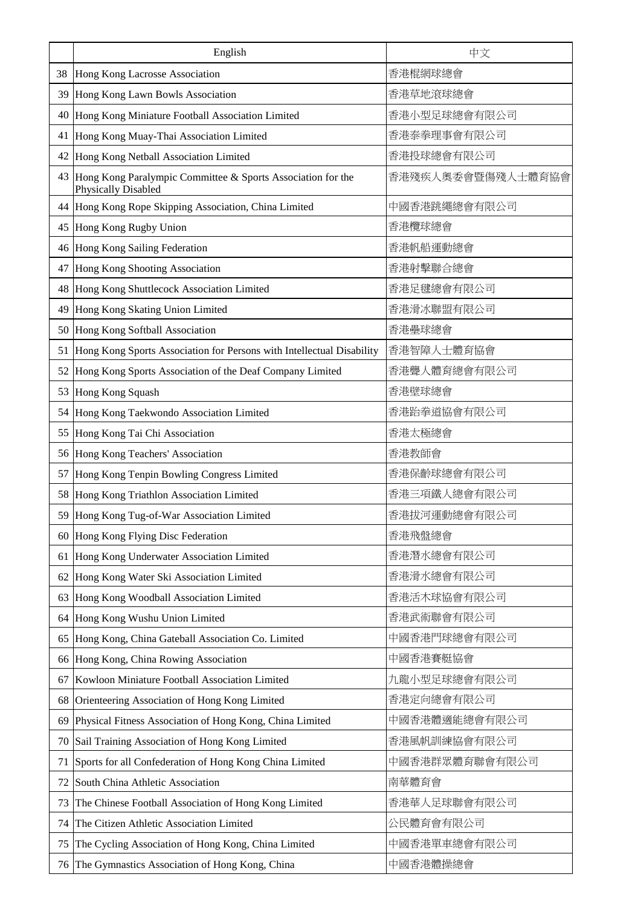|    | English                                                                            | 中文                |
|----|------------------------------------------------------------------------------------|-------------------|
| 38 | Hong Kong Lacrosse Association                                                     | 香港棍網球總會           |
| 39 | Hong Kong Lawn Bowls Association                                                   | 香港草地滾球總會          |
| 40 | Hong Kong Miniature Football Association Limited                                   | 香港小型足球總會有限公司      |
| 41 | Hong Kong Muay-Thai Association Limited                                            | 香港泰拳理事會有限公司       |
| 42 | Hong Kong Netball Association Limited                                              | 香港投球總會有限公司        |
| 43 | Hong Kong Paralympic Committee & Sports Association for the<br>Physically Disabled | 香港殘疾人奧委會暨傷殘人士體育協會 |
| 44 | Hong Kong Rope Skipping Association, China Limited                                 | 中國香港跳繩總會有限公司      |
| 45 | Hong Kong Rugby Union                                                              | 香港欖球總會            |
| 46 | Hong Kong Sailing Federation                                                       | 香港帆船運動總會          |
| 47 | Hong Kong Shooting Association                                                     | 香港射擊聯合總會          |
| 48 | Hong Kong Shuttlecock Association Limited                                          | 香港足毽總會有限公司        |
| 49 | Hong Kong Skating Union Limited                                                    | 香港滑冰聯盟有限公司        |
| 50 | Hong Kong Softball Association                                                     | 香港壘球總會            |
| 51 | Hong Kong Sports Association for Persons with Intellectual Disability              | 香港智障人士體育協會        |
| 52 | Hong Kong Sports Association of the Deaf Company Limited                           | 香港聾人體育總會有限公司      |
| 53 | Hong Kong Squash                                                                   | 香港壁球總會            |
| 54 | Hong Kong Taekwondo Association Limited                                            | 香港跆拳道協會有限公司       |
| 55 | Hong Kong Tai Chi Association                                                      | 香港太極總會            |
| 56 | Hong Kong Teachers' Association                                                    | 香港教師會             |
| 57 | Hong Kong Tenpin Bowling Congress Limited                                          | 香港保齡球總會有限公司       |
| 58 | Hong Kong Triathlon Association Limited                                            | 香港三項鐵人總會有限公司      |
| 59 | Hong Kong Tug-of-War Association Limited                                           | 香港拔河運動總會有限公司      |
| 60 | Hong Kong Flying Disc Federation                                                   | 香港飛盤總會            |
| 61 | Hong Kong Underwater Association Limited                                           | 香港潛水總會有限公司        |
| 62 | Hong Kong Water Ski Association Limited                                            | 香港滑水總會有限公司        |
| 63 | Hong Kong Woodball Association Limited                                             | 香港活木球協會有限公司       |
| 64 | Hong Kong Wushu Union Limited                                                      | 香港武術聯會有限公司        |
| 65 | Hong Kong, China Gateball Association Co. Limited                                  | 中國香港門球總會有限公司      |
| 66 | Hong Kong, China Rowing Association                                                | 中國香港賽艇協會          |
| 67 | Kowloon Miniature Football Association Limited                                     | 九龍小型足球總會有限公司      |
| 68 | Orienteering Association of Hong Kong Limited                                      | 香港定向總會有限公司        |
| 69 | Physical Fitness Association of Hong Kong, China Limited                           | 中國香港體適能總會有限公司     |
| 70 | Sail Training Association of Hong Kong Limited                                     | 香港風帆訓練協會有限公司      |
| 71 | Sports for all Confederation of Hong Kong China Limited                            | 中國香港群眾體育聯會有限公司    |
| 72 | South China Athletic Association                                                   | 南華體育會             |
| 73 | The Chinese Football Association of Hong Kong Limited                              | 香港華人足球聯會有限公司      |
| 74 | The Citizen Athletic Association Limited                                           | 公民體育會有限公司         |
| 75 | The Cycling Association of Hong Kong, China Limited                                | 中國香港單車總會有限公司      |
| 76 | The Gymnastics Association of Hong Kong, China                                     | 中國香港體操總會          |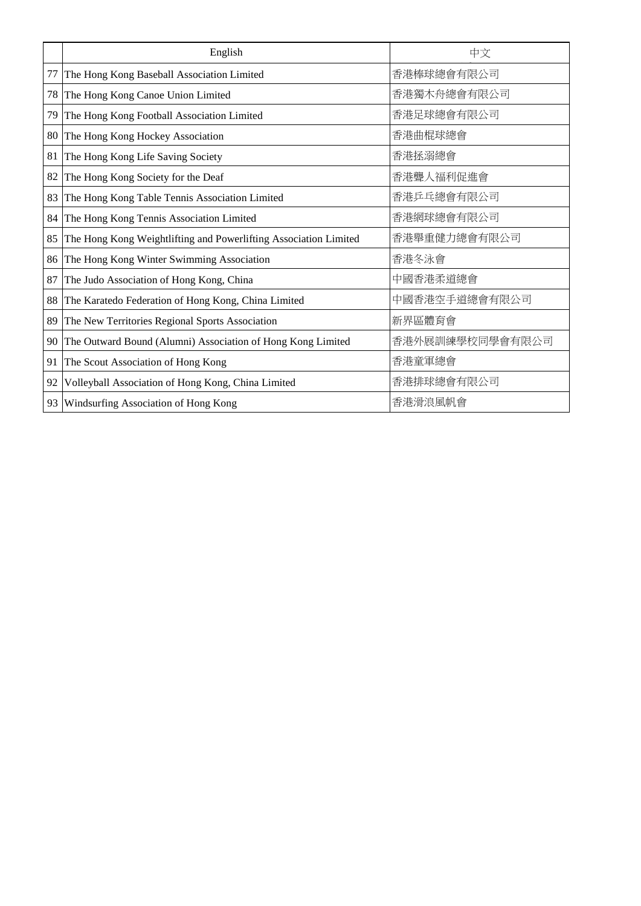|    | English                                                          | 中文              |
|----|------------------------------------------------------------------|-----------------|
| 77 | The Hong Kong Baseball Association Limited                       | 香港棒球總會有限公司      |
| 78 | The Hong Kong Canoe Union Limited                                | 香港獨木舟總會有限公司     |
| 79 | The Hong Kong Football Association Limited                       | 香港足球總會有限公司      |
| 80 | The Hong Kong Hockey Association                                 | 香港曲棍球總會         |
| 81 | The Hong Kong Life Saving Society                                | 香港拯溺總會          |
| 82 | The Hong Kong Society for the Deaf                               | 香港聾人福利促進會       |
| 83 | The Hong Kong Table Tennis Association Limited                   | 香港乒乓總會有限公司      |
| 84 | The Hong Kong Tennis Association Limited                         | 香港網球總會有限公司      |
| 85 | The Hong Kong Weightlifting and Powerlifting Association Limited | 香港舉重健力總會有限公司    |
| 86 | The Hong Kong Winter Swimming Association                        | 香港冬泳會           |
| 87 | The Judo Association of Hong Kong, China                         | 中國香港柔道總會        |
| 88 | The Karatedo Federation of Hong Kong, China Limited              | 中國香港空手道總會有限公司   |
| 89 | The New Territories Regional Sports Association                  | 新界區體育會          |
| 90 | The Outward Bound (Alumni) Association of Hong Kong Limited      | 香港外展訓練學校同學會有限公司 |
| 91 | The Scout Association of Hong Kong                               | 香港童軍總會          |
| 92 | Volleyball Association of Hong Kong, China Limited               | 香港排球總會有限公司      |
| 93 | Windsurfing Association of Hong Kong                             | 香港滑浪風帆會         |